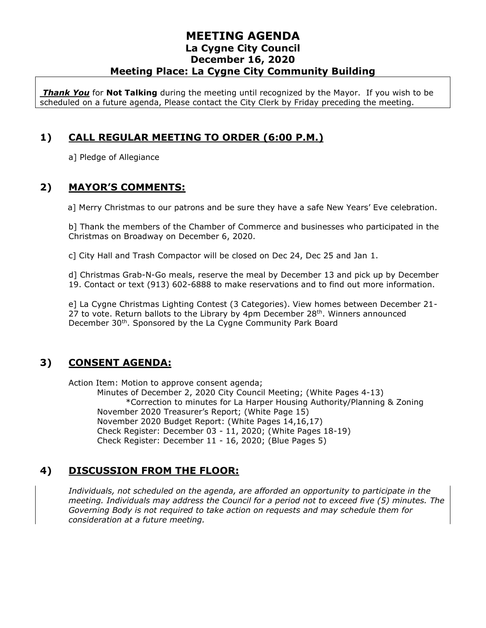*Thank You* for **Not Talking** during the meeting until recognized by the Mayor. If you wish to be scheduled on a future agenda, Please contact the City Clerk by Friday preceding the meeting.

# **1) CALL REGULAR MEETING TO ORDER (6:00 P.M.)**

a] Pledge of Allegiance

### **2) MAYOR'S COMMENTS:**

a] Merry Christmas to our patrons and be sure they have a safe New Years' Eve celebration.

b] Thank the members of the Chamber of Commerce and businesses who participated in the Christmas on Broadway on December 6, 2020.

c] City Hall and Trash Compactor will be closed on Dec 24, Dec 25 and Jan 1.

d] Christmas Grab-N-Go meals, reserve the meal by December 13 and pick up by December 19. Contact or text (913) 602-6888 to make reservations and to find out more information.

e] La Cygne Christmas Lighting Contest (3 Categories). View homes between December 21- 27 to vote. Return ballots to the Library by  $4pm$  December  $28<sup>th</sup>$ . Winners announced December 30<sup>th</sup>. Sponsored by the La Cygne Community Park Board

# **3) CONSENT AGENDA:**

Action Item: Motion to approve consent agenda;

Minutes of December 2, 2020 City Council Meeting; (White Pages 4-13) \*Correction to minutes for La Harper Housing Authority/Planning & Zoning November 2020 Treasurer's Report; (White Page 15) November 2020 Budget Report: (White Pages 14,16,17) Check Register: December 03 - 11, 2020; (White Pages 18-19) Check Register: December 11 - 16, 2020; (Blue Pages 5)

# **4) DISCUSSION FROM THE FLOOR:**

*Individuals, not scheduled on the agenda, are afforded an opportunity to participate in the meeting. Individuals may address the Council for a period not to exceed five (5) minutes. The Governing Body is not required to take action on requests and may schedule them for consideration at a future meeting.*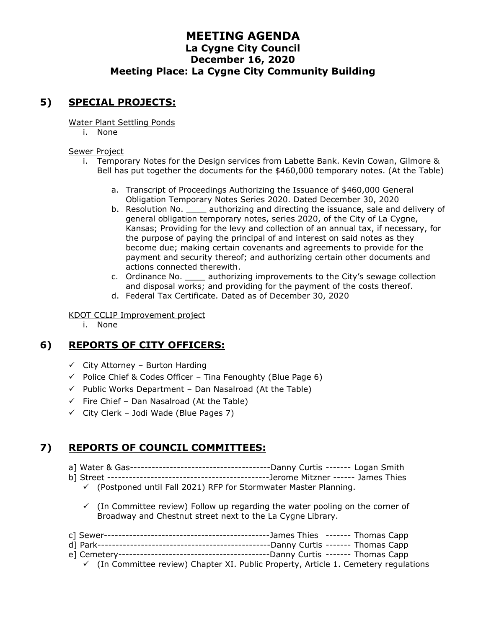# **5) SPECIAL PROJECTS:**

Water Plant Settling Ponds

i. None

#### Sewer Project

- i. Temporary Notes for the Design services from Labette Bank. Kevin Cowan, Gilmore & Bell has put together the documents for the \$460,000 temporary notes. (At the Table)
	- a. Transcript of Proceedings Authorizing the Issuance of \$460,000 General Obligation Temporary Notes Series 2020. Dated December 30, 2020
	- b. Resolution No. \_\_\_\_\_ authorizing and directing the issuance, sale and delivery of general obligation temporary notes, series 2020, of the City of La Cygne, Kansas; Providing for the levy and collection of an annual tax, if necessary, for the purpose of paying the principal of and interest on said notes as they become due; making certain covenants and agreements to provide for the payment and security thereof; and authorizing certain other documents and actions connected therewith.
	- c. Ordinance No. \_\_\_\_ authorizing improvements to the City's sewage collection and disposal works; and providing for the payment of the costs thereof.
	- d. Federal Tax Certificate. Dated as of December 30, 2020

KDOT CCLIP Improvement project

i. None

# **6) REPORTS OF CITY OFFICERS:**

- $\checkmark$  City Attorney Burton Harding
- $\checkmark$  Police Chief & Codes Officer Tina Fenoughty (Blue Page 6)
- $\checkmark$  Public Works Department Dan Nasalroad (At the Table)
- $\checkmark$  Fire Chief Dan Nasalroad (At the Table)
- $\checkmark$  City Clerk Jodi Wade (Blue Pages 7)

# **7) REPORTS OF COUNCIL COMMITTEES:**

- a] Water & Gas---------------------------------------Danny Curtis ------- Logan Smith
- b] Street ---------------------------------------------Jerome Mitzner ------ James Thies
	- $\checkmark$  (Postponed until Fall 2021) RFP for Stormwater Master Planning.
	- $\checkmark$  (In Committee review) Follow up regarding the water pooling on the corner of Broadway and Chestnut street next to the La Cygne Library.

|  | $\checkmark$ (In Committee review) Chapter XI. Public Property, Article 1. Cemetery regulations |
|--|-------------------------------------------------------------------------------------------------|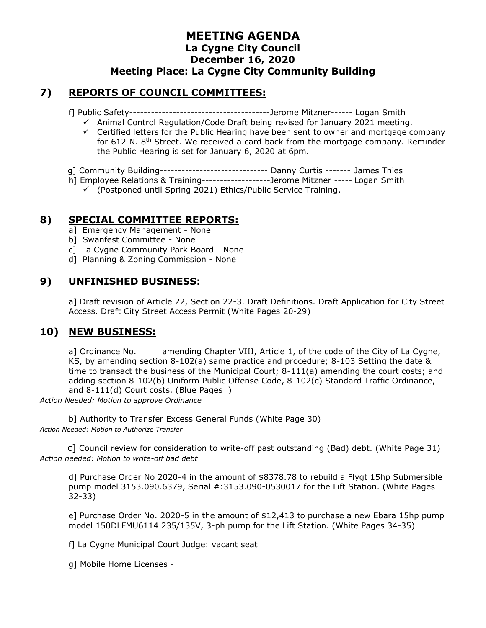#### **7) REPORTS OF COUNCIL COMMITTEES:**

f] Public Safety---------------------------------------Jerome Mitzner------ Logan Smith

- ✓ Animal Control Regulation/Code Draft being revised for January 2021 meeting.
- $\checkmark$  Certified letters for the Public Hearing have been sent to owner and mortgage company for 612 N.  $8<sup>th</sup>$  Street. We received a card back from the mortgage company. Reminder the Public Hearing is set for January 6, 2020 at 6pm.
- g] Community Building------------------------------ Danny Curtis ------- James Thies
- h] Employee Relations & Training-------------------Jerome Mitzner ----- Logan Smith
	- ✓ (Postponed until Spring 2021) Ethics/Public Service Training.

#### **8) SPECIAL COMMITTEE REPORTS:**

- a] Emergency Management None
- b] Swanfest Committee None
- c] La Cygne Community Park Board None
- d] Planning & Zoning Commission None

#### **9) UNFINISHED BUSINESS:**

a] Draft revision of Article 22, Section 22-3. Draft Definitions. Draft Application for City Street Access. Draft City Street Access Permit (White Pages 20-29)

#### **10) NEW BUSINESS:**

a] Ordinance No. \_\_\_\_\_ amending Chapter VIII, Article 1, of the code of the City of La Cygne. KS, by amending section 8-102(a) same practice and procedure; 8-103 Setting the date & time to transact the business of the Municipal Court; 8-111(a) amending the court costs; and adding section 8-102(b) Uniform Public Offense Code, 8-102(c) Standard Traffic Ordinance, and 8-111(d) Court costs. (Blue Pages )

*Action Needed: Motion to approve Ordinance*

b] Authority to Transfer Excess General Funds (White Page 30) *Action Needed: Motion to Authorize Transfer*

 c] Council review for consideration to write-off past outstanding (Bad) debt. (White Page 31) *Action needed: Motion to write-off bad debt*

d] Purchase Order No 2020-4 in the amount of \$8378.78 to rebuild a Flygt 15hp Submersible pump model 3153.090.6379, Serial #:3153.090-0530017 for the Lift Station. (White Pages 32-33)

e] Purchase Order No. 2020-5 in the amount of \$12,413 to purchase a new Ebara 15hp pump model 150DLFMU6114 235/135V, 3-ph pump for the Lift Station. (White Pages 34-35)

f] La Cygne Municipal Court Judge: vacant seat

g] Mobile Home Licenses -